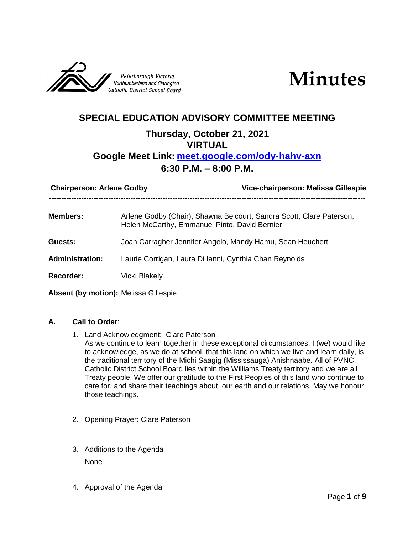



# **SPECIAL EDUCATION ADVISORY COMMITTEE MEETING Thursday, October 21, 2021 VIRTUAL Google Meet Link: [meet.google.com/ody-hahv-axn](file:///G:/My%20Drive/SPEC%20ED/SEAC/10%202021/meet.google.com/ody-hahv-axn) 6:30 P.M. – 8:00 P.M.**

| <b>Chairperson: Arlene Godby</b> |                                                           | Vice-chairperson: Melissa Gillespie                                                                                   |  |
|----------------------------------|-----------------------------------------------------------|-----------------------------------------------------------------------------------------------------------------------|--|
| <b>Members:</b>                  |                                                           | Arlene Godby (Chair), Shawna Belcourt, Sandra Scott, Clare Paterson,<br>Helen McCarthy, Emmanuel Pinto, David Bernier |  |
| <b>Guests:</b>                   | Joan Carragher Jennifer Angelo, Mandy Hamu, Sean Heuchert |                                                                                                                       |  |
| <b>Administration:</b>           | Laurie Corrigan, Laura Di Ianni, Cynthia Chan Reynolds    |                                                                                                                       |  |
| <b>Recorder:</b>                 | Vicki Blakely                                             |                                                                                                                       |  |

- **Absent (by motion):** Melissa Gillespie
- **A. Call to Order**:
	- 1. Land Acknowledgment: Clare Paterson
		- As we continue to learn together in these exceptional circumstances, I (we) would like to acknowledge, as we do at school, that this land on which we live and learn daily, is the traditional territory of the Michi Saagig (Mississauga) Anishnaabe. All of PVNC Catholic District School Board lies within the Williams Treaty territory and we are all Treaty people. We offer our gratitude to the First Peoples of this land who continue to care for, and share their teachings about, our earth and our relations. May we honour those teachings.
	- 2. Opening Prayer: Clare Paterson
	- 3. Additions to the Agenda None
	- 4. Approval of the Agenda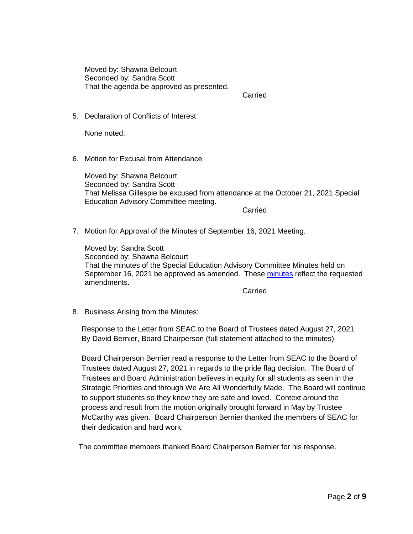Moved by: Shawna Belcourt Seconded by: Sandra Scott That the agenda be approved as presented.

Carried

5. Declaration of Conflicts of Interest

None noted.

6. Motion for Excusal from Attendance

Moved by: Shawna Belcourt Seconded by: Sandra Scott That Melissa Gillespie be excused from attendance at the October 21, 2021 Special Education Advisory Committee meeting.

**Carried** 

7. Motion for Approval of the Minutes of September 16, 2021 Meeting.

Moved by: Sandra Scott Seconded by: Shawna Belcourt That the minutes of the Special Education Advisory Committee Minutes held on September 16, 2021 be approved as amended. These [minutes](https://www.pvnccdsb.on.ca/wp-content/uploads/2018/08/SEAC-Minutes-September-16-2021.pdf) reflect the requested amendments.

Carried

8. Business Arising from the Minutes:

Response to the Letter from SEAC to the Board of Trustees dated August 27, 2021 By David Bernier, Board Chairperson (full statement attached to the minutes)

Board Chairperson Bernier read a response to the Letter from SEAC to the Board of Trustees dated August 27, 2021 in regards to the pride flag decision. The Board of Trustees and Board Administration believes in equity for all students as seen in the Strategic Priorities and through We Are All Wonderfully Made. The Board will continue to support students so they know they are safe and loved. Context around the process and result from the motion originally brought forward in May by Trustee McCarthy was given. Board Chairperson Bernier thanked the members of SEAC for their dedication and hard work.

The committee members thanked Board Chairperson Bernier for his response.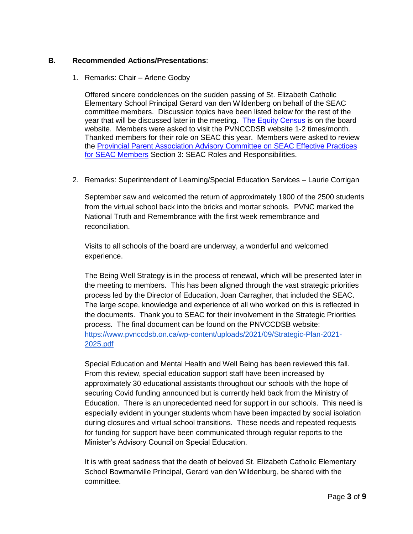#### **B. Recommended Actions/Presentations**:

1. Remarks: Chair – Arlene Godby

Offered sincere condolences on the sudden passing of St. Elizabeth Catholic Elementary School Principal Gerard van den Wildenberg on behalf of the SEAC committee members. Discussion topics have been listed below for the rest of the year that will be discussed later in the meeting. [The Equity Census](https://www.pvnccdsb.on.ca/every-student-counts-pvnc-student-census/) is on the board website. Members were asked to visit the PVNCCDSB website 1-2 times/month. Thanked members for their role on SEAC this year. Members were asked to review the [Provincial Parent Association Advisory Committee on SEAC Effective Practices](http://www.paac-seac.ca/wp-content/uploads/PAAC-on-SEAC-Effective-Practices-Handbook-2016-Oct-12-2016-FINAL.pdf)  [for SEAC Members](http://www.paac-seac.ca/wp-content/uploads/PAAC-on-SEAC-Effective-Practices-Handbook-2016-Oct-12-2016-FINAL.pdf) Section 3: SEAC Roles and Responsibilities.

2. Remarks: Superintendent of Learning/Special Education Services – Laurie Corrigan

September saw and welcomed the return of approximately 1900 of the 2500 students from the virtual school back into the bricks and mortar schools. PVNC marked the National Truth and Remembrance with the first week remembrance and reconciliation.

Visits to all schools of the board are underway, a wonderful and welcomed experience.

The Being Well Strategy is in the process of renewal, which will be presented later in the meeting to members. This has been aligned through the vast strategic priorities process led by the Director of Education, Joan Carragher, that included the SEAC. The large scope, knowledge and experience of all who worked on this is reflected in the documents. Thank you to SEAC for their involvement in the Strategic Priorities process. The final document can be found on the PNVCCDSB website: [https://www.pvnccdsb.on.ca/wp-content/uploads/2021/09/Strategic-Plan-2021-](https://www.pvnccdsb.on.ca/wp-content/uploads/2021/09/Strategic-Plan-2021-2025.pdf) [2025.pdf](https://www.pvnccdsb.on.ca/wp-content/uploads/2021/09/Strategic-Plan-2021-2025.pdf)

Special Education and Mental Health and Well Being has been reviewed this fall. From this review, special education support staff have been increased by approximately 30 educational assistants throughout our schools with the hope of securing Covid funding announced but is currently held back from the Ministry of Education. There is an unprecedented need for support in our schools. This need is especially evident in younger students whom have been impacted by social isolation during closures and virtual school transitions. These needs and repeated requests for funding for support have been communicated through regular reports to the Minister's Advisory Council on Special Education.

It is with great sadness that the death of beloved St. Elizabeth Catholic Elementary School Bowmanville Principal, Gerard van den Wildenburg, be shared with the committee.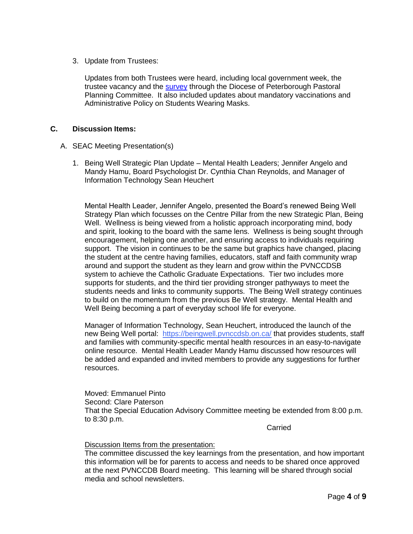3. Update from Trustees:

Updates from both Trustees were heard, including local government week, the trustee vacancy and the [survey](https://www.peterboroughdiocese.org/en/about-us/pastoral-planning.aspx) through the Diocese of Peterborough Pastoral Planning Committee. It also included updates about mandatory vaccinations and Administrative Policy on Students Wearing Masks.

#### **C. Discussion Items:**

- A. SEAC Meeting Presentation(s)
	- 1. Being Well Strategic Plan Update Mental Health Leaders; Jennifer Angelo and Mandy Hamu, Board Psychologist Dr. Cynthia Chan Reynolds, and Manager of Information Technology Sean Heuchert

Mental Health Leader, Jennifer Angelo, presented the Board's renewed Being Well Strategy Plan which focusses on the Centre Pillar from the new Strategic Plan, Being Well. Wellness is being viewed from a holistic approach incorporating mind, body and spirit, looking to the board with the same lens. Wellness is being sought through encouragement, helping one another, and ensuring access to individuals requiring support. The vision in continues to be the same but graphics have changed, placing the student at the centre having families, educators, staff and faith community wrap around and support the student as they learn and grow within the PVNCCDSB system to achieve the Catholic Graduate Expectations. Tier two includes more supports for students, and the third tier providing stronger pathyways to meet the students needs and links to community supports. The Being Well strategy continues to build on the momentum from the previous Be Well strategy. Mental Health and Well Being becoming a part of everyday school life for everyone.

Manager of Information Technology, Sean Heuchert, introduced the launch of the new Being Well portal: [https://beingwell.pvnccdsb.on.ca/](http://f02cf7bd.hatchbuckmail.net/link.php?DynEngagement=true&H=xQYhbPMxzCn8HFd2PV8KqQD%2FpOY1nGvpoFXut8HGyWp44WPg33uJ017dJLnG9kw7KtiLjf8Fp2KFzIZ1ClxN08b9RntA%2BnL3lycfKBJ9WPPUbwkxX5y7BbKmRZ%2BHEGcd&G=0&R=https%3A%2F%2FTTHGGYZTOMY.hatchbuck.com%2FTrackLinkClick%3FID2%3DGyrorggAzvHFKvnroTJC_tEkz2d9iEoIisnzoqLloecZ5UJL-QjeWNQDnxTA7RBE0&I=20211027144939.00000008aa4d%40mail6-76-ussnn1&X=MHwxMjY1Nzk4OjIyOTMwOTY3Nzc7MXwxMjY1Nzk5OjE4MzgxOTkwMDs%3D&V=3&S=0xdOEXv1nWH0vhj7aKWCJ8j-iDEWdck1FM9OaUNfZZ8) that provides students, staff and families with community-specific mental health resources in an easy-to-navigate online resource. Mental Health Leader Mandy Hamu discussed how resources will be added and expanded and invited members to provide any suggestions for further resources.

Moved: Emmanuel Pinto Second: Clare Paterson That the Special Education Advisory Committee meeting be extended from 8:00 p.m. to 8:30 p.m.

**Carried** 

#### Discussion Items from the presentation:

The committee discussed the key learnings from the presentation, and how important this information will be for parents to access and needs to be shared once approved at the next PVNCCDB Board meeting. This learning will be shared through social media and school newsletters.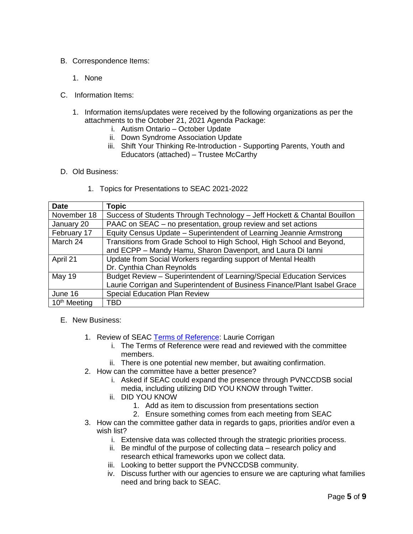- B. Correspondence Items:
	- 1. None
- C. Information Items:
	- 1. Information items/updates were received by the following organizations as per the attachments to the October 21, 2021 Agenda Package:
		- i. Autism Ontario October Update
		- ii. Down Syndrome Association Update
		- iii. Shift Your Thinking Re-Introduction Supporting Parents, Youth and Educators (attached) – Trustee McCarthy
- D. Old Business:
	- 1. Topics for Presentations to SEAC 2021-2022

| <b>Date</b>              | <b>Topic</b>                                                              |  |
|--------------------------|---------------------------------------------------------------------------|--|
| November 18              | Success of Students Through Technology - Jeff Hockett & Chantal Bouillon  |  |
| January 20               | PAAC on SEAC - no presentation, group review and set actions              |  |
| February 17              | Equity Census Update - Superintendent of Learning Jeannie Armstrong       |  |
| March 24                 | Transitions from Grade School to High School, High School and Beyond,     |  |
|                          | and ECPP - Mandy Hamu, Sharon Davenport, and Laura Di lanni               |  |
| April 21                 | Update from Social Workers regarding support of Mental Health             |  |
|                          | Dr. Cynthia Chan Reynolds                                                 |  |
| <b>May 19</b>            | Budget Review - Superintendent of Learning/Special Education Services     |  |
|                          | Laurie Corrigan and Superintendent of Business Finance/Plant Isabel Grace |  |
| June 16                  | <b>Special Education Plan Review</b>                                      |  |
| 10 <sup>th</sup> Meeting | TBD                                                                       |  |

- E. New Business:
	- 1. Review of SEAC [Terms of Reference:](https://www.pvnccdsb.on.ca/wp-content/uploads/2018/10/Committee-Terms-of-Reference-Nov-27-2018-FINAL.pdf) Laurie Corrigan
		- i. The Terms of Reference were read and reviewed with the committee members.
		- ii. There is one potential new member, but awaiting confirmation.
	- 2. How can the committee have a better presence?
		- i. Asked if SEAC could expand the presence through PVNCCDSB social media, including utilizing DID YOU KNOW through Twitter.
		- ii. DID YOU KNOW
			- 1. Add as item to discussion from presentations section
			- 2. Ensure something comes from each meeting from SEAC
	- 3. How can the committee gather data in regards to gaps, priorities and/or even a wish list?
		- i. Extensive data was collected through the strategic priorities process.
		- ii. Be mindful of the purpose of collecting data research policy and research ethical frameworks upon we collect data.
		- iii. Looking to better support the PVNCCDSB community.
		- iv. Discuss further with our agencies to ensure we are capturing what families need and bring back to SEAC.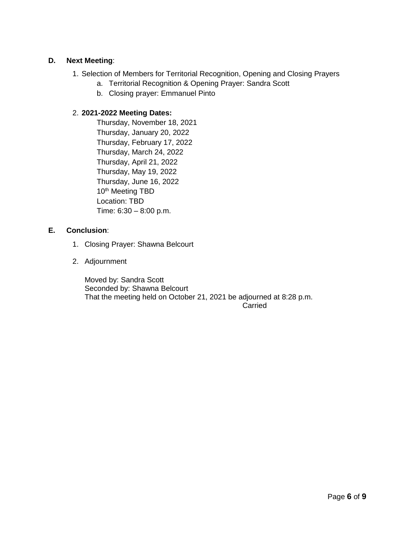### **D. Next Meeting**:

- 1. Selection of Members for Territorial Recognition, Opening and Closing Prayers
	- a. Territorial Recognition & Opening Prayer: Sandra Scott
	- b. Closing prayer: Emmanuel Pinto

# 2. **2021-2022 Meeting Dates:**

Thursday, November 18, 2021 Thursday, January 20, 2022 Thursday, February 17, 2022 Thursday, March 24, 2022 Thursday, April 21, 2022 Thursday, May 19, 2022 Thursday, June 16, 2022 10<sup>th</sup> Meeting TBD Location: TBD Time: 6:30 – 8:00 p.m.

# **E. Conclusion**:

- 1. Closing Prayer: Shawna Belcourt
- 2. Adjournment

Moved by: Sandra Scott Seconded by: Shawna Belcourt That the meeting held on October 21, 2021 be adjourned at 8:28 p.m. **Carried**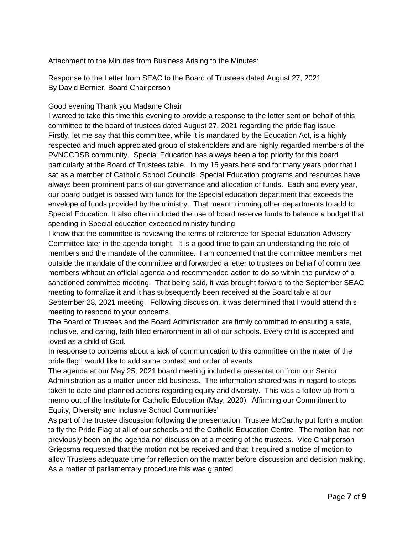Attachment to the Minutes from Business Arising to the Minutes:

Response to the Letter from SEAC to the Board of Trustees dated August 27, 2021 By David Bernier, Board Chairperson

### Good evening Thank you Madame Chair

I wanted to take this time this evening to provide a response to the letter sent on behalf of this committee to the board of trustees dated August 27, 2021 regarding the pride flag issue. Firstly, let me say that this committee, while it is mandated by the Education Act, is a highly respected and much appreciated group of stakeholders and are highly regarded members of the PVNCCDSB community. Special Education has always been a top priority for this board particularly at the Board of Trustees table. In my 15 years here and for many years prior that I sat as a member of Catholic School Councils, Special Education programs and resources have always been prominent parts of our governance and allocation of funds. Each and every year, our board budget is passed with funds for the Special education department that exceeds the envelope of funds provided by the ministry. That meant trimming other departments to add to Special Education. It also often included the use of board reserve funds to balance a budget that spending in Special education exceeded ministry funding.

I know that the committee is reviewing the terms of reference for Special Education Advisory Committee later in the agenda tonight. It is a good time to gain an understanding the role of members and the mandate of the committee. I am concerned that the committee members met outside the mandate of the committee and forwarded a letter to trustees on behalf of committee members without an official agenda and recommended action to do so within the purview of a sanctioned committee meeting. That being said, it was brought forward to the September SEAC meeting to formalize it and it has subsequently been received at the Board table at our September 28, 2021 meeting. Following discussion, it was determined that I would attend this meeting to respond to your concerns.

The Board of Trustees and the Board Administration are firmly committed to ensuring a safe, inclusive, and caring, faith filled environment in all of our schools. Every child is accepted and loved as a child of God.

In response to concerns about a lack of communication to this committee on the mater of the pride flag I would like to add some context and order of events.

The agenda at our May 25, 2021 board meeting included a presentation from our Senior Administration as a matter under old business. The information shared was in regard to steps taken to date and planned actions regarding equity and diversity. This was a follow up from a memo out of the Institute for Catholic Education (May, 2020), 'Affirming our Commitment to Equity, Diversity and Inclusive School Communities'

As part of the trustee discussion following the presentation, Trustee McCarthy put forth a motion to fly the Pride Flag at all of our schools and the Catholic Education Centre. The motion had not previously been on the agenda nor discussion at a meeting of the trustees. Vice Chairperson Griepsma requested that the motion not be received and that it required a notice of motion to allow Trustees adequate time for reflection on the matter before discussion and decision making. As a matter of parliamentary procedure this was granted.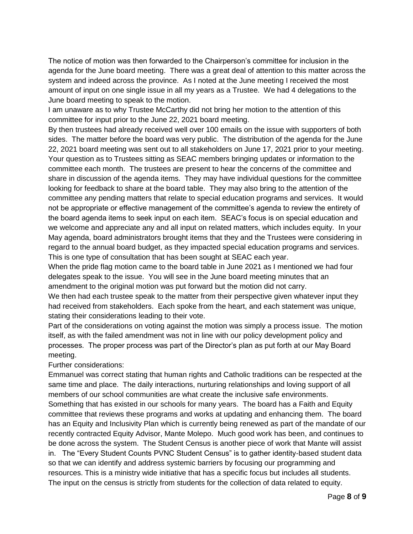The notice of motion was then forwarded to the Chairperson's committee for inclusion in the agenda for the June board meeting. There was a great deal of attention to this matter across the system and indeed across the province. As I noted at the June meeting I received the most amount of input on one single issue in all my years as a Trustee. We had 4 delegations to the June board meeting to speak to the motion.

I am unaware as to why Trustee McCarthy did not bring her motion to the attention of this committee for input prior to the June 22, 2021 board meeting.

By then trustees had already received well over 100 emails on the issue with supporters of both sides. The matter before the board was very public. The distribution of the agenda for the June 22, 2021 board meeting was sent out to all stakeholders on June 17, 2021 prior to your meeting. Your question as to Trustees sitting as SEAC members bringing updates or information to the committee each month. The trustees are present to hear the concerns of the committee and share in discussion of the agenda items. They may have individual questions for the committee looking for feedback to share at the board table. They may also bring to the attention of the committee any pending matters that relate to special education programs and services. It would not be appropriate or effective management of the committee's agenda to review the entirety of the board agenda items to seek input on each item. SEAC's focus is on special education and we welcome and appreciate any and all input on related matters, which includes equity. In your May agenda, board administrators brought items that they and the Trustees were considering in regard to the annual board budget, as they impacted special education programs and services. This is one type of consultation that has been sought at SEAC each year.

When the pride flag motion came to the board table in June 2021 as I mentioned we had four delegates speak to the issue. You will see in the June board meeting minutes that an amendment to the original motion was put forward but the motion did not carry.

We then had each trustee speak to the matter from their perspective given whatever input they had received from stakeholders. Each spoke from the heart, and each statement was unique, stating their considerations leading to their vote.

Part of the considerations on voting against the motion was simply a process issue. The motion itself, as with the failed amendment was not in line with our policy development policy and processes. The proper process was part of the Director's plan as put forth at our May Board meeting.

# Further considerations:

Emmanuel was correct stating that human rights and Catholic traditions can be respected at the same time and place. The daily interactions, nurturing relationships and loving support of all members of our school communities are what create the inclusive safe environments. Something that has existed in our schools for many years. The board has a Faith and Equity committee that reviews these programs and works at updating and enhancing them. The board has an Equity and Inclusivity Plan which is currently being renewed as part of the mandate of our recently contracted Equity Advisor, Mante Molepo. Much good work has been, and continues to be done across the system. The Student Census is another piece of work that Mante will assist in. The "Every Student Counts PVNC Student Census" is to gather identity-based student data so that we can identify and address systemic barriers by focusing our programming and resources. This is a ministry wide initiative that has a specific focus but includes all students. The input on the census is strictly from students for the collection of data related to equity.